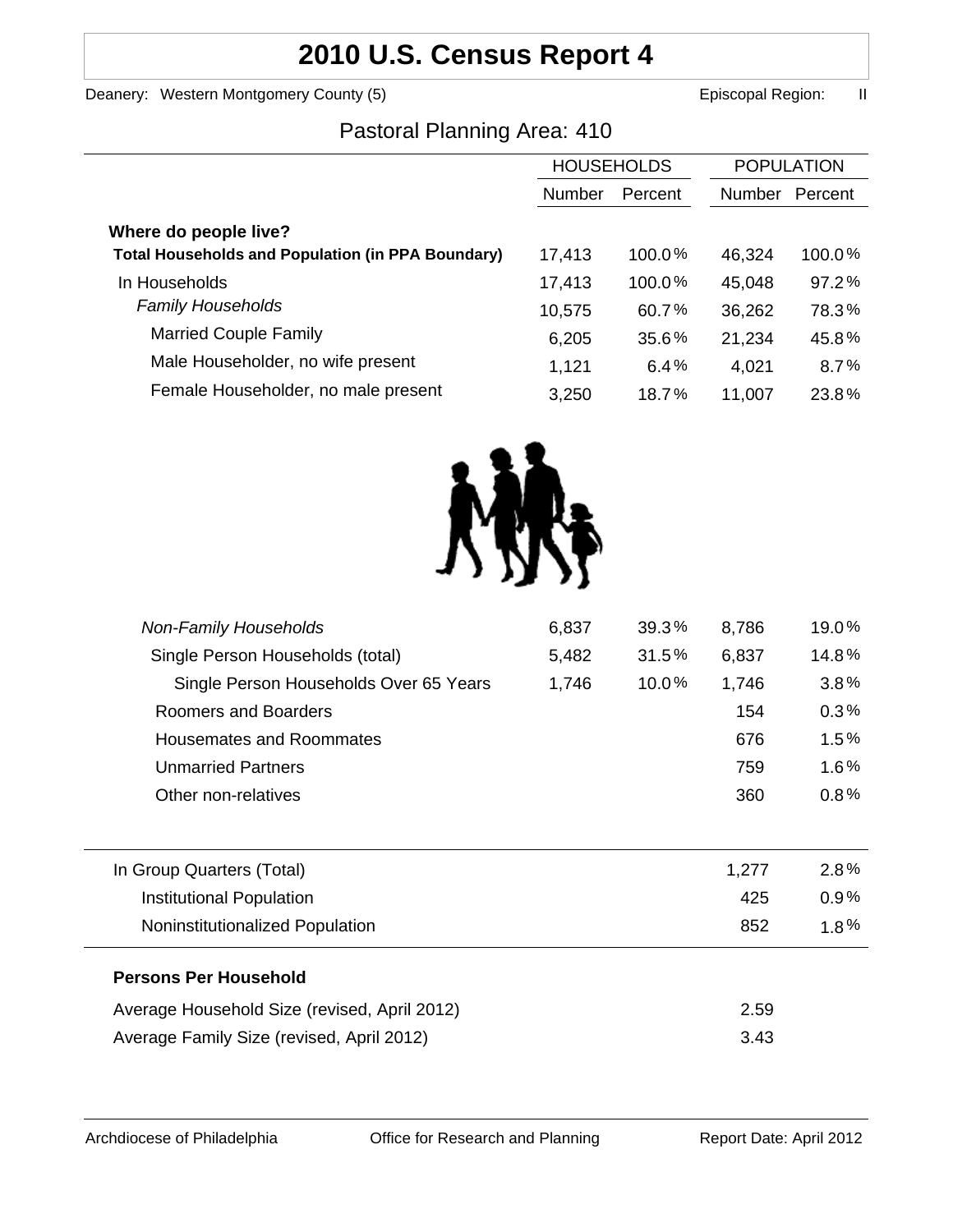# **2010 U.S. Census Report 4**

Deanery: Western Montgomery County (5) earned the control of the Episcopal Region: II

## Pastoral Planning Area: 410

|                                                          | <b>HOUSEHOLDS</b> |         | <b>POPULATION</b> |         |
|----------------------------------------------------------|-------------------|---------|-------------------|---------|
|                                                          | Number            | Percent | Number            | Percent |
| Where do people live?                                    |                   |         |                   |         |
| <b>Total Households and Population (in PPA Boundary)</b> | 17,413            | 100.0%  | 46,324            | 100.0%  |
| In Households                                            | 17,413            | 100.0%  | 45,048            | 97.2%   |
| <b>Family Households</b>                                 | 10,575            | 60.7%   | 36,262            | 78.3%   |
| <b>Married Couple Family</b>                             | 6,205             | 35.6%   | 21,234            | 45.8%   |
| Male Householder, no wife present                        | 1,121             | 6.4%    | 4,021             | 8.7%    |
| Female Householder, no male present                      | 3,250             | 18.7%   | 11,007            | 23.8%   |



| <b>Non-Family Households</b>                 | 6,837 | 39.3% | 8,786 | 19.0%   |
|----------------------------------------------|-------|-------|-------|---------|
| Single Person Households (total)             | 5,482 | 31.5% | 6,837 | 14.8%   |
| Single Person Households Over 65 Years       | 1,746 | 10.0% | 1,746 | 3.8%    |
| Roomers and Boarders                         |       |       | 154   | 0.3%    |
| <b>Housemates and Roommates</b>              |       |       | 676   | 1.5%    |
| <b>Unmarried Partners</b>                    |       |       | 759   | 1.6%    |
| Other non-relatives                          |       |       | 360   | $0.8\%$ |
|                                              |       |       |       |         |
| In Group Quarters (Total)                    |       |       | 1,277 | 2.8%    |
| <b>Institutional Population</b>              |       |       | 425   | 0.9%    |
| Noninstitutionalized Population              |       |       | 852   | $1.8\%$ |
| <b>Persons Per Household</b>                 |       |       |       |         |
| Average Household Size (revised, April 2012) |       |       | 2.59  |         |
| Average Family Size (revised, April 2012)    |       |       | 3.43  |         |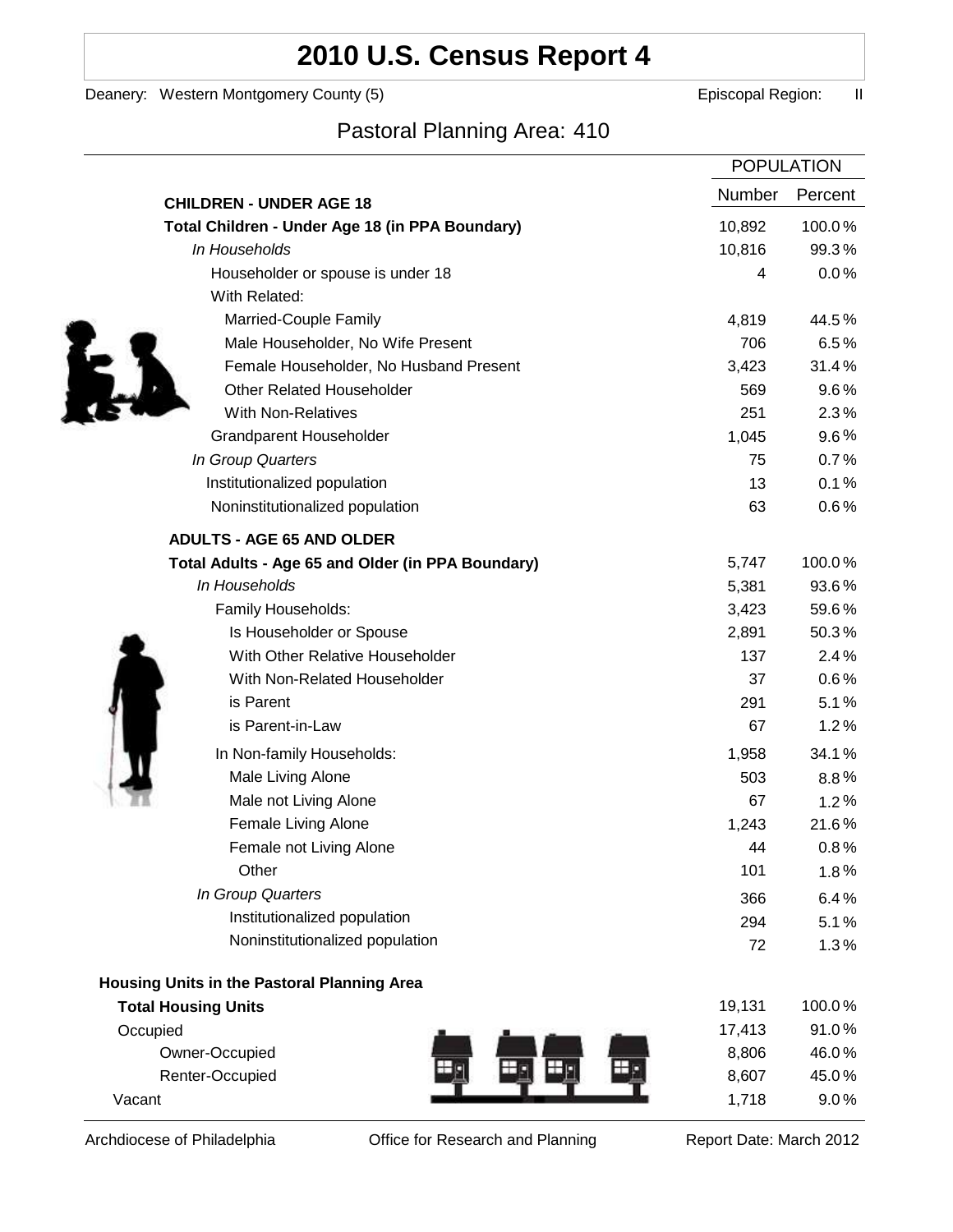# **2010 U.S. Census Report 4**

Deanery: Western Montgomery County (5) earned the control of the Episcopal Region: II

## Pastoral Planning Area: 410

|                                                   |        | <b>POPULATION</b> |
|---------------------------------------------------|--------|-------------------|
| <b>CHILDREN - UNDER AGE 18</b>                    | Number | Percent           |
| Total Children - Under Age 18 (in PPA Boundary)   | 10,892 | 100.0%            |
| In Households                                     | 10,816 | 99.3%             |
| Householder or spouse is under 18                 | 4      | 0.0%              |
| With Related:                                     |        |                   |
| Married-Couple Family                             | 4,819  | 44.5%             |
| Male Householder, No Wife Present                 | 706    | 6.5%              |
| Female Householder, No Husband Present            | 3,423  | 31.4%             |
| <b>Other Related Householder</b>                  | 569    | 9.6%              |
| <b>With Non-Relatives</b>                         | 251    | 2.3%              |
| <b>Grandparent Householder</b>                    | 1,045  | $9.6\%$           |
| In Group Quarters                                 | 75     | 0.7%              |
| Institutionalized population                      | 13     | 0.1%              |
| Noninstitutionalized population                   | 63     | 0.6%              |
| <b>ADULTS - AGE 65 AND OLDER</b>                  |        |                   |
| Total Adults - Age 65 and Older (in PPA Boundary) | 5,747  | 100.0%            |
| In Households                                     | 5,381  | 93.6%             |
| Family Households:                                | 3,423  | 59.6%             |
| Is Householder or Spouse                          | 2,891  | 50.3%             |
| With Other Relative Householder                   | 137    | 2.4%              |
| With Non-Related Householder                      | 37     | $0.6\%$           |
| is Parent                                         | 291    | 5.1%              |
| is Parent-in-Law                                  | 67     | 1.2%              |
| In Non-family Households:                         | 1,958  | 34.1%             |
| Male Living Alone                                 | 503    | $8.8\%$           |
| Male not Living Alone                             | 67     | 1.2%              |
| Female Living Alone                               | 1,243  | 21.6%             |
| Female not Living Alone                           | 44     | 0.8%              |
| Other                                             | 101    | 1.8%              |
| In Group Quarters                                 | 366    | 6.4%              |
| Institutionalized population                      | 294    | 5.1%              |
| Noninstitutionalized population                   | 72     | 1.3%              |
| Housing Units in the Pastoral Planning Area       |        |                   |
| <b>Total Housing Units</b>                        | 19,131 | 100.0%            |
| Occupied                                          | 17,413 | 91.0%             |
| Owner-Occupied                                    | 8,806  | 46.0%             |
| Renter-Occupied                                   | 8,607  | 45.0%             |
| Vacant                                            | 1,718  | 9.0%              |

Archdiocese of Philadelphia **Office for Research and Planning** Report Date: March 2012